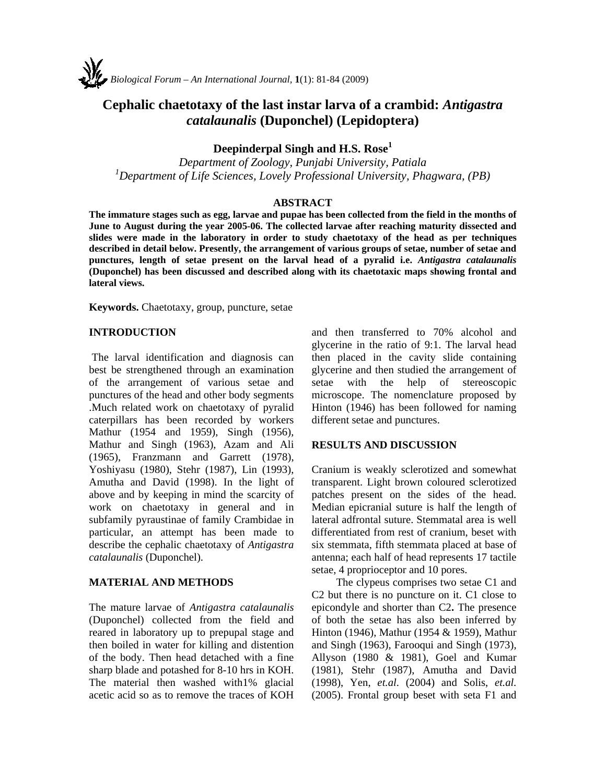# **Cephalic chaetotaxy of the last instar larva of a crambid:** *Antigastra catalaunalis* **(Duponchel) (Lepidoptera)**

# **Deepinderpal Singh and H.S. Rose<sup>1</sup>**

*Department of Zoology, Punjabi University, Patiala*  <sup>1</sup>Department of Life Sciences, Lovely Professional University, Phagwara, (PB)

#### **ABSTRACT**

**The immature stages such as egg, larvae and pupae has been collected from the field in the months of June to August during the year 2005-06. The collected larvae after reaching maturity dissected and slides were made in the laboratory in order to study chaetotaxy of the head as per techniques described in detail below. Presently, the arrangement of various groups of setae, number of setae and punctures, length of setae present on the larval head of a pyralid i.e.** *Antigastra catalaunalis* **(Duponchel) has been discussed and described along with its chaetotaxic maps showing frontal and lateral views.** 

**Keywords.** Chaetotaxy, group, puncture, setae

### **INTRODUCTION**

The larval identification and diagnosis can best be strengthened through an examination of the arrangement of various setae and punctures of the head and other body segments .Much related work on chaetotaxy of pyralid caterpillars has been recorded by workers Mathur (1954 and 1959), Singh (1956), Mathur and Singh (1963), Azam and Ali (1965), Franzmann and Garrett (1978), Yoshiyasu (1980), Stehr (1987), Lin (1993), Amutha and David (1998). In the light of above and by keeping in mind the scarcity of work on chaetotaxy in general and in subfamily pyraustinae of family Crambidae in particular, an attempt has been made to describe the cephalic chaetotaxy of *Antigastra catalaunalis* (Duponchel).

# **MATERIAL AND METHODS**

The mature larvae of *Antigastra catalaunalis* (Duponchel) collected from the field and reared in laboratory up to prepupal stage and then boiled in water for killing and distention of the body. Then head detached with a fine sharp blade and potashed for 8-10 hrs in KOH. The material then washed with1% glacial acetic acid so as to remove the traces of KOH and then transferred to 70% alcohol and glycerine in the ratio of 9:1. The larval head then placed in the cavity slide containing glycerine and then studied the arrangement of setae with the help of stereoscopic microscope. The nomenclature proposed by Hinton (1946) has been followed for naming different setae and punctures.

### **RESULTS AND DISCUSSION**

Cranium is weakly sclerotized and somewhat transparent. Light brown coloured sclerotized patches present on the sides of the head. Median epicranial suture is half the length of lateral adfrontal suture. Stemmatal area is well differentiated from rest of cranium, beset with six stemmata, fifth stemmata placed at base of antenna; each half of head represents 17 tactile setae, 4 proprioceptor and 10 pores.

 The clypeus comprises two setae C1 and C2 but there is no puncture on it. C1 close to epicondyle and shorter than C2**.** The presence of both the setae has also been inferred by Hinton (1946), Mathur (1954 & 1959), Mathur and Singh (1963), Farooqui and Singh (1973), Allyson (1980 & 1981), Goel and Kumar (1981), Stehr (1987), Amutha and David (1998), Yen, *et.al*. (2004) and Solis, *et.al.* (2005). Frontal group beset with seta F1 and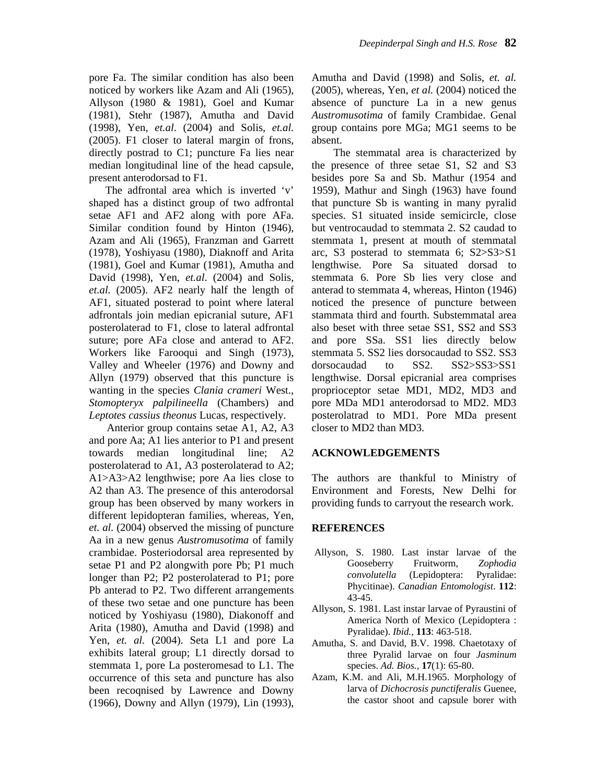pore Fa. The similar condition has also been noticed by workers like Azam and Ali (1965), Allyson (1980 & 1981), Goel and Kumar (1981), Stehr (1987), Amutha and David (1998), Yen, *et.al*. (2004) and Solis, *et.al.* (2005). F1 closer to lateral margin of frons, directly postrad to C1; puncture Fa lies near median longitudinal line of the head capsule, present anterodorsad to F1.

 The adfrontal area which is inverted 'v' shaped has a distinct group of two adfrontal setae AF1 and AF2 along with pore AFa. Similar condition found by Hinton (1946), Azam and Ali (1965), Franzman and Garrett (1978), Yoshiyasu (1980), Diaknoff and Arita (1981), Goel and Kumar (1981), Amutha and David (1998), Yen, *et.al*. (2004) and Solis, *et.al.* (2005). AF2 nearly half the length of AF1, situated posterad to point where lateral adfrontals join median epicranial suture, AF1 posterolaterad to F1, close to lateral adfrontal suture; pore AFa close and anterad to AF2. Workers like Farooqui and Singh (1973), Valley and Wheeler (1976) and Downy and Allyn (1979) observed that this puncture is wanting in the species *Clania crameri* West., *Stomopteryx palpilineella* (Chambers) and *Leptotes cassius theonus* Lucas, respectively.

Anterior group contains setae A1, A2, A3 and pore Aa; A1 lies anterior to P1 and present towards median longitudinal line; A2 posterolaterad to A1, A3 posterolaterad to A2; A1>A3>A2 lengthwise; pore Aa lies close to A2 than A3. The presence of this anterodorsal group has been observed by many workers in different lepidopteran families, whereas, Yen, *et. al.* (2004) observed the missing of puncture Aa in a new genus *Austromusotima* of family crambidae. Posteriodorsal area represented by setae P1 and P2 alongwith pore Pb; P1 much longer than P2; P2 posterolaterad to P1; pore Pb anterad to P2. Two different arrangements of these two setae and one puncture has been noticed by Yoshiyasu (1980), Diakonoff and Arita (1980), Amutha and David (1998) and Yen, *et. al.* (2004). Seta L1 and pore La exhibits lateral group; L1 directly dorsad to stemmata 1, pore La posteromesad to L1. The occurrence of this seta and puncture has also been recoqnised by Lawrence and Downy (1966), Downy and Allyn (1979), Lin (1993),

Amutha and David (1998) and Solis, *et. al.* (2005), whereas, Yen, *et al.* (2004) noticed the absence of puncture La in a new genus *Austromusotima* of family Crambidae. Genal group contains pore MGa; MG1 seems to be absent.

 The stemmatal area is characterized by the presence of three setae S1, S2 and S3 besides pore Sa and Sb. Mathur (1954 and 1959), Mathur and Singh (1963) have found that puncture Sb is wanting in many pyralid species. S1 situated inside semicircle, close but ventrocaudad to stemmata 2. S2 caudad to stemmata 1, present at mouth of stemmatal arc, S3 posterad to stemmata 6; S2>S3>S1 lengthwise. Pore Sa situated dorsad to stemmata 6. Pore Sb lies very close and anterad to stemmata 4, whereas, Hinton (1946) noticed the presence of puncture between stammata third and fourth. Substemmatal area also beset with three setae SS1, SS2 and SS3 and pore SSa. SS1 lies directly below stemmata 5. SS2 lies dorsocaudad to SS2. SS3 dorsocaudad to SS2. SS2>SS3>SS1 lengthwise. Dorsal epicranial area comprises proprioceptor setae MD1, MD2, MD3 and pore MDa MD1 anterodorsad to MD2. MD3 posterolatrad to MD1. Pore MDa present closer to MD2 than MD3.

#### **ACKNOWLEDGEMENTS**

The authors are thankful to Ministry of Environment and Forests, New Delhi for providing funds to carryout the research work.

#### **REFERENCES**

- Allyson, S. 1980. Last instar larvae of the Gooseberry Fruitworm, *Zophodia convolutella* (Lepidoptera: Pyralidae: Phycitinae). *Canadian Entomologist*. **112**: 43-45.
- Allyson, S. 1981. Last instar larvae of Pyraustini of America North of Mexico (Lepidoptera : Pyralidae). *Ibid.,* **113**: 463-518.
- Amutha, S. and David, B.V. 1998. Chaetotaxy of three Pyralid larvae on four *Jasminum* species. *Ad. Bios.,* **17**(1): 65-80.
- Azam, K.M. and Ali, M.H.1965. Morphology of larva of *Dichocrosis punctiferalis* Guenee, the castor shoot and capsule borer with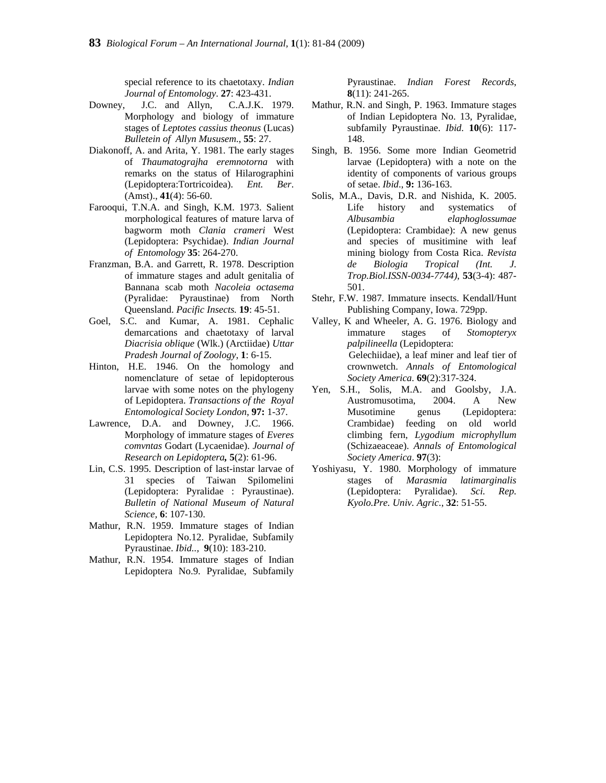special reference to its chaetotaxy. *Indian Journal of Entomology*. **27**: 423-431.

- Downey, J.C. and Allyn, C.A.J.K. 1979. Morphology and biology of immature stages of *Leptotes cassius theonus* (Lucas) *Bulletein of Allyn Mususem*., **55**: 27.
- Diakonoff, A. and Arita, Y. 1981. The early stages of *Thaumatograjha eremnotorna* with remarks on the status of Hilarographini (Lepidoptera:Tortricoidea). *Ent. Ber*. (Amst)., **41**(4): 56-60.
- Farooqui, T.N.A. and Singh, K.M. 1973. Salient morphological features of mature larva of bagworm moth *Clania crameri* West (Lepidoptera: Psychidae). *Indian Journal of Entomology* **35**: 264-270.
- Franzman, B.A. and Garrett, R. 1978. Description of immature stages and adult genitalia of Bannana scab moth *Nacoleia octasema* (Pyralidae: Pyraustinae) from North Queensland. *Pacific Insects.* **19**: 45-51.
- Goel, S.C. and Kumar, A. 1981. Cephalic demarcations and chaetotaxy of larval *Diacrisia oblique* (Wlk.) (Arctiidae) *Uttar Pradesh Journal of Zoology*, **1**: 6-15.
- Hinton, H.E. 1946. On the homology and nomenclature of setae of lepidopterous larvae with some notes on the phylogeny of Lepidoptera. *Transactions of the Royal Entomological Society London*, **97:** 1-37.
- Lawrence, D.A. and Downey, J.C. 1966. Morphology of immature stages of *Everes comvntas* Godart (Lycaenidae). *Journal of Research on Lepidoptera,* **5**(2): 61-96.
- Lin, C.S. 1995. Description of last-instar larvae of 31 species of Taiwan Spilomelini (Lepidoptera: Pyralidae : Pyraustinae). *Bulletin of National Museum of Natural Science,* **6**: 107-130.
- Mathur, R.N. 1959. Immature stages of Indian Lepidoptera No.12. Pyralidae, Subfamily Pyraustinae. *Ibid..,* **9**(10): 183-210.
- Mathur, R.N. 1954. Immature stages of Indian Lepidoptera No.9. Pyralidae, Subfamily

Pyraustinae. *Indian Forest Records*, **8**(11): 241-265.

- Mathur, R.N. and Singh, P. 1963. Immature stages of Indian Lepidoptera No. 13, Pyralidae, subfamily Pyraustinae. *Ibid.* **10**(6): 117- 148.
- Singh, B. 1956. Some more Indian Geometrid larvae (Lepidoptera) with a note on the identity of components of various groups of setae. *Ibid*., **9:** 136-163.
- Solis, M.A., Davis, D.R. and Nishida, K. 2005. Life history and systematics of *Albusambia elaphoglossumae* (Lepidoptera: Crambidae): A new genus and species of musitimine with leaf mining biology from Costa Rica. *Revista de Biologia Tropical (Int. J. Trop.Biol.ISSN-0034-7744)*, **53**(3-4): 487- 501.
- Stehr, F.W. 1987. Immature insects. Kendall/Hunt Publishing Company, Iowa. 729pp.
- Valley, K and Wheeler, A. G. 1976. Biology and immature stages of *Stomopteryx palpilineella* (Lepidoptera: Gelechiidae), a leaf miner and leaf tier of crownwetch. *Annals of Entomological Society America.* **69**(2):317-324.
- Yen, S.H., Solis, M.A. and Goolsby, J.A. Austromusotima, 2004. A New Musotimine genus (Lepidoptera: Crambidae) feeding on old world climbing fern, *Lygodium microphyllum* (Schizaeaceae). *Annals of Entomological Society America*. **97**(3):
- Yoshiyasu, Y. 1980. Morphology of immature stages of *Marasmia latimarginalis* (Lepidoptera: Pyralidae). *Sci. Rep. Kyolo.Pre. Univ. Agric*., **32**: 51-55.